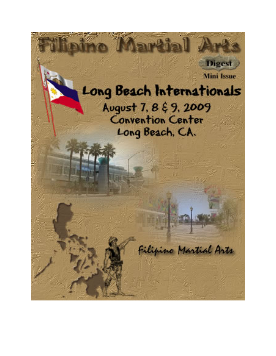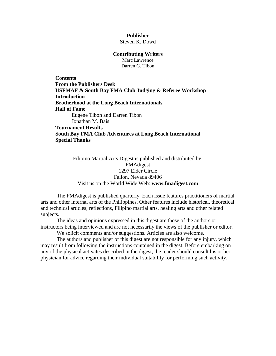## **Publisher**

Steven K. Dowd

#### **Contributing Writers**

Marc Lawrence Darren G. Tibon

**Contents [From the Publishers Desk](#page-2-0)  [USFMAF & South Bay FMA Club Judging & Referee Workshop](#page-3-0)  [Introduction](#page-4-0)  [Brotherhood at the Long Beach Internationals](#page-4-0)  Hall of Fame**  [Eugene Tibon and Darren Tibon](#page-6-0)  [Jonathan M. Bais](#page-7-0)  **[Tournament Results](#page-9-0)  [South Bay FMA Club Adventures at Long Beach International](#page-13-0)** 

**[Special Thanks](#page-15-0)** 

Filipino Martial Arts Digest is published and distributed by: FMAdigest 1297 Eider Circle Fallon, Nevada 89406 Visit us on the World Wide Web: **[www.fmadigest.com](http://www.fmadigest.com/)**

The FMAdigest is published quarterly. Each issue features practitioners of martial arts and other internal arts of the Philippines. Other features include historical, theoretical and technical articles; reflections, Filipino martial arts, healing arts and other related subjects.

The ideas and opinions expressed in this digest are those of the authors or instructors being interviewed and are not necessarily the views of the publisher or editor.

We solicit comments and/or suggestions. Articles are also welcome.

The authors and publisher of this digest are not responsible for any injury, which may result from following the instructions contained in the digest. Before embarking on any of the physical activates described in the digest, the reader should consult his or her physician for advice regarding their individual suitability for performing such activity.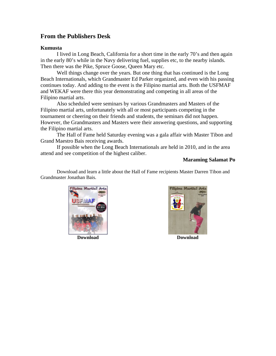## <span id="page-2-0"></span>**From the Publishers Desk**

## **Kumusta**

I lived in Long Beach, California for a short time in the early 70's and then again in the early 80's while in the Navy delivering fuel, supplies etc, to the nearby islands. Then there was the Pike, Spruce Goose, Queen Mary etc.

Well things change over the years. But one thing that has continued is the Long Beach Internationals, which Grandmaster Ed Parker organized, and even with his passing continues today. And adding to the event is the Filipino martial arts. Both the USFMAF and WEKAF were there this year demonstrating and competing in all areas of the Filipino martial arts.

Also scheduled were seminars by various Grandmasters and Masters of the Filipino martial arts, unfortunately with all or most participants competing in the tournament or cheering on their friends and students, the seminars did not happen. However, the Grandmasters and Masters were their answering questions, and supporting the Filipino martial arts.

The Hall of Fame held Saturday evening was a gala affair with Master Tibon and Grand Maestro Bais receiving awards.

If possible when the Long Beach Internationals are held in 2010, and in the area attend and see competition of the highest caliber.

### **Maraming Salamat Po**

Download and learn a little about the Hall of Fame recipients Master Darren Tibon and Grandmaster Jonathan Bais.



**[Download](http://www.fmadigest.com/Issues/special-issues/2008/Special-Issue_USFMAF.pdf) [Download](http://www.fmadigest.com/Issues/special-editions/2009/Special-Edition_Bais3Manos.pdf)** 

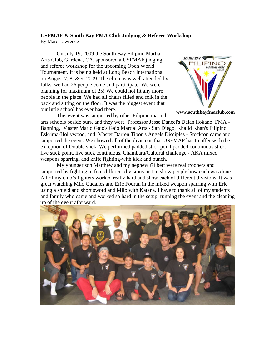### <span id="page-3-0"></span>**USFMAF & South Bay FMA Club Judging & Referee Workshop** By Marc Lawrence

On July 19, 2009 the South Bay Filipino Martial Arts Club, Gardena, CA, sponsored a USFMAF judging and referee workshop for the upcoming Open World Tournament. It is being held at Long Beach International on August 7, 8, & 9, 2009. The clinic was well attended by folks, we had 26 people come and participate. We were planning for maximum of 25! We could not fit any more people in the place. We had all chairs filled and folk in the back and sitting on the floor. It was the biggest event that our little school has ever had there.



**[www.southbayfmaclub.com](http://www.southbayfmaclub.com/)**

This event was supported by other Filipino martial arts schools beside ours, and they were Professor Jesse Dancel's Dalan Ilokano FMA - Banning, Master Mario Gajo's Gajo Martial Arts - San Diego, Khalid Khan's Filipino Eskrima-Hollywood, and Master Darren Tibon's Angels Disciples - Stockton came and supported the event. We showed all of the divisions that USFMAF has to offer with the exception of Double stick. We performed padded stick point padded continuous stick, live stick point, live stick continuous, Chambara/Cultural challenge - AKA mixed weapons sparring, and knife fighting-with kick and punch.

My younger son Matthew and my nephew Gilbert were real troopers and supported by fighting in four different divisions just to show people how each was done. All of my club's fighters worked really hard and show each of different divisions. It was great watching Milo Cudanes and Eric Fodran in the mixed weapon sparring with Eric using a shield and short sword and Milo with Katana. I have to thank all of my students and family who came and worked so hard in the setup, running the event and the cleaning up of the event afterward.

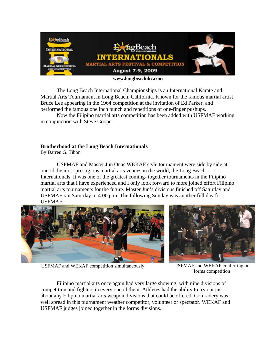<span id="page-4-0"></span>

The Long Beach International Championships is an International Karate and Martial Arts Tournament in Long Beach, California. Known for the famous martial artist Bruce Lee appearing in the 1964 competition at the invitation of Ed Parker, and performed the famous one inch punch and repetitions of one-finger pushups.

Now the Filipino martial arts competition has been added with USFMAF working in conjunction with Steve Cooper.

### **Brotherhood at the Long Beach Internationals**

By Darren G. Tibon

USFMAF and Master Jun Onas WEKAF style tournament were side by side at one of the most prestigious martial arts venues in the world, the Long Beach Internationals. It was one of the greatest coming- together tournaments in the Filipino martial arts that I have experienced and I only look forward to more joined effort Filipino martial arts tournaments for the future. Master Jun's divisions finished off Saturday and USFMAF ran Saturday to 4:00 p.m. The following Sunday was another full day for USFMAF.





USFMAF and WEKAF competition simultaneously USFMAF and WEKAF conferring on

forms competition

Filipino martial arts once again had very large showing, with nine divisions of competition and fighters in every one of them. Athletes had the ability to try out just about any Filipino martial arts weapon divisions that could be offered. Comradery was well spread in this tournament weather competitor, volunteer or spectator. WEKAF and USFMAF judges joined together in the forms divisions.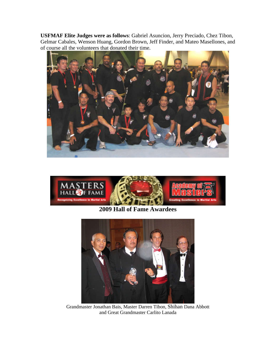**USFMAF Elite Judges were as follows**: Gabriel Asuncion, Jerry Preciado, Chez Tibon, Gelmar Cabales, Wenson Huang, Gordon Brown, Jeff Finder, and Mateo Masellones, and of course all the volunteers that donated their time.





**2009 Hall of Fame Awardees** 



Grandmaster Jonathan Bais, Master Darren Tibon, Shihan Dana Abbott and Great Grandmaster Carlito Lanada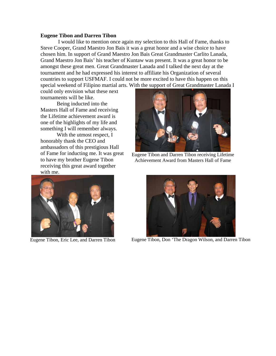#### <span id="page-6-0"></span>**Eugene Tibon and Darren Tibon**

 I would like to mention once again my selection to this Hall of Fame, thanks to Steve Cooper, Grand Maestro Jon Bais it was a great honor and a wise choice to have chosen him. In support of Grand Maestro Jon Bais Great Grandmaster Carlito Lanada, Grand Maestro Jon Bais' his teacher of Kuntaw was present. It was a great honor to be amongst these great men. Great Grandmaster Lanada and I talked the next day at the tournament and he had expressed his interest to affiliate his Organization of several countries to support USFMAF. I could not be more excited to have this happen on this special weekend of Filipino martial arts. With the support of Great Grandmaster Lanada I

could only envision what these next tournaments will be like.

Being inducted into the Masters Hall of Fame and receiving the Lifetime achievement award is one of the highlights of my life and something I will remember always.

With the utmost respect, I honorably thank the CEO and ambassadors of this prestigious Hall of Fame for inducting me. It was great to have my brother Eugene Tibon receiving this great award together with me.



Eugene Tibon and Darren Tibon receiving Lifetime Achievement Award from Masters Hall of Fame





Eugene Tibon, Eric Lee, and Darren Tibon Eugene Tibon, Don 'The Dragon Wilson, and Darren Tibon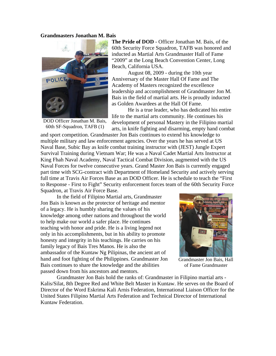#### <span id="page-7-0"></span>**Grandmasters Jonathan M. Bais**



DOD Officer Jonathan M. Bais, 60th SF-Squadron, TAFB (1)

**The Pride of DOD** - Officer Jonathan M. Bais, of the 60th Security Force Squadron, TAFB was honored and inducted as Martial Arts Grandmaster Hall of Fame "2009" at the Long Beach Convention Center, Long Beach, California USA.

August 08, 2009 - during the 10th year Anniversary of the Master Hall Of Fame and The Academy of Masters recognized the excellence leadership and accomplishment of Grandmaster Jon M. Bais in the field of martial arts. He is proudly inducted as Golden Awardees at the Hall Of Fame.

He is a true leader, who has dedicated his entire life to the martial arts community. He continues his development of personal Mastery in the Filipino martial arts, in knife fighting and disarming, empty hand combat

and sport competition. Grandmaster Jon Bais continues to extend his knowledge to multiple military and law enforcement agencies. Over the years he has served at US Naval Base, Subic Bay as knife combat training instructor with (JEST) Jungle Expert Survival Training during Vietnam War; He was a Naval Cadet Martial Arts Instructor at King Fhah Naval Academy, Naval Tactical Combat Division, augmented with the US Naval Forces for twelve consecutive years. Grand Master Jon Bais is currently engaged part time with SCG-contract with Department of Homeland Security and actively serving full time at Travis Air Forces Base as an DOD Officer. He is schedule to teach the "First to Response - First to Fight" Security enforcement forces team of the 60th Security Force Squadron, at Travis Air Force Base.

In the field of Filipino Martial arts, Grandmaster Jon Bais is known as the protector of heritage and mentor of a legacy. He is humbly sharing the values of his knowledge among other nations and throughout the world to help make our world a safer place. He continues teaching with honor and pride. He is a living legend not only in his accomplishments, but in his ability to promote honesty and integrity in his teachings. He carries on his family legacy of Bais Tres Manos. He is also the ambassador of the Kuntaw Ng Pilipinas, the ancient art of hand and foot fighting of the Philippines. Grandmaster Jon Bais continues to share the knowledge and the abilities passed down from his ancestors and mentors.



Grandmaster Jon Bais, Hall of Fame Grandmaster

Grandmaster Jon Bais hold the ranks of: Grandmaster in Filipino martial arts - Kalis/Silat, 8th Degree Red and White Belt Master in Kuntaw. He serves on the Board of Director of the Word Eskrima Kali Arnis Federation, International Liaison Officer for the United States Filipino Martial Arts Federation and Technical Director of International Kuntaw Federation.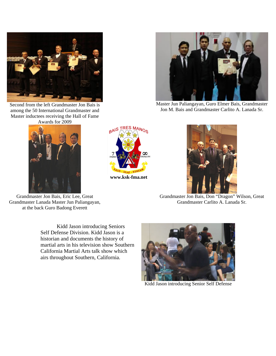

Second from the left Grandmaster Jon Bais is among the 50 International Grandmaster and Master inductees receiving the Hall of Fame Awards for 2009



Grandmaster Jon Bais, Eric Lee, Great Grandmaster Lanada Master Jun Paliangayan, at the back Guro Badong Everett

Kidd Jason introducing Seniors Self Defense Division. Kidd Jason is a historian and documents the history of martial arts in his television show Southern California Martial Arts talk show which airs throughout Southern, California.



Kidd Jason introducing Senior Self Defense



**[www.ksk-fma.net](http://www.ksk-fma.net/)** 



Master Jun Paliangayan, Guro Elmer Bais, Grandmaster Jon M. Bais and Grandmaster Carlito A. Lanada Sr.



Grandmaster Jon Bais, Don "Dragon" Wilson, Great Grandmaster Carlito A. Lanada Sr.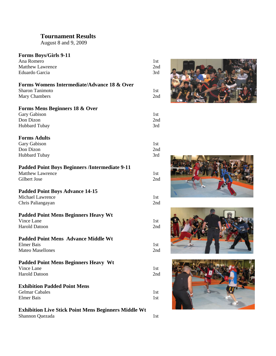# <span id="page-9-0"></span>**Tournament Results**

August 8 and 9, 2009

## **Forms Boys/Girls 9-11**

| Ana Romero                                                  | 1st |  |
|-------------------------------------------------------------|-----|--|
| <b>Matthew Lawrence</b>                                     | 2nd |  |
| Eduardo Garcia                                              | 3rd |  |
|                                                             |     |  |
|                                                             |     |  |
| <b>Forms Womens Intermediate/Advance 18 &amp; Over</b>      |     |  |
| <b>Sharon Tanimoto</b>                                      | 1st |  |
| Mary Chambers                                               | 2nd |  |
|                                                             |     |  |
|                                                             |     |  |
| <b>Forms Mens Beginners 18 &amp; Over</b>                   |     |  |
| Gary Gabison                                                | 1st |  |
| Don Dizon                                                   | 2nd |  |
| <b>Hubbard Tubay</b>                                        | 3rd |  |
|                                                             |     |  |
| <b>Forms Adults</b>                                         |     |  |
|                                                             |     |  |
| Gary Gabison                                                | 1st |  |
| Don Dizon                                                   | 2nd |  |
| Hubbard Tubay                                               | 3rd |  |
|                                                             |     |  |
| <b>Padded Point Boys Beginners /Intermediate 9-11</b>       |     |  |
| <b>Matthew Lawrence</b>                                     | 1st |  |
|                                                             |     |  |
| Gilbert Jose                                                | 2nd |  |
|                                                             |     |  |
| <b>Padded Point Boys Advance 14-15</b>                      |     |  |
| <b>Michael Lawrence</b>                                     | 1st |  |
| Chris Paliangayan                                           | 2nd |  |
|                                                             |     |  |
|                                                             |     |  |
| <b>Padded Point Mens Beginners Heavy Wt</b>                 |     |  |
| Vince Lane                                                  | 1st |  |
| <b>Harold Datoon</b>                                        | 2nd |  |
|                                                             |     |  |
| <b>Padded Point Mens Advance Middle Wt</b>                  |     |  |
|                                                             |     |  |
| <b>Elmer Bais</b>                                           | 1st |  |
| <b>Mateo Masellones</b>                                     | 2nd |  |
|                                                             |     |  |
| <b>Padded Point Mens Beginners Heavy Wt</b>                 |     |  |
| Vince Lane                                                  | 1st |  |
| <b>Harold Datoon</b>                                        | 2nd |  |
|                                                             |     |  |
|                                                             |     |  |
| <b>Exhibition Padded Point Mens</b>                         |     |  |
| <b>Gelmar Cabales</b>                                       | 1st |  |
| <b>Elmer Bais</b>                                           | 1st |  |
|                                                             |     |  |
| <b>Exhibition Live Stick Point Mens Beginners Middle Wt</b> |     |  |
|                                                             |     |  |
| Shannon Quezada                                             | 1st |  |







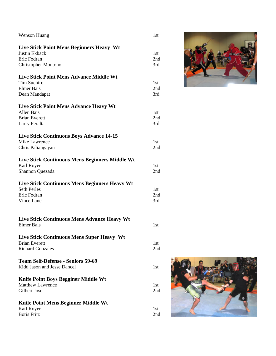| <b>Wenson Huang</b>                                  |
|------------------------------------------------------|
| Live Stick Point Mens Beginners Heavy Wt             |
| Justin Ekback                                        |
| Eric Fodran                                          |
| Christopher Montono                                  |
| <b>Live Stick Point Mens Advance Middle Wt</b>       |
| Tim Suehiro                                          |
| <b>Elmer Bais</b>                                    |
| Dean Mandapat                                        |
| Live Stick Point Mens Advance Heavy Wt               |
| Allen Bais                                           |
| <b>Brian Everett</b>                                 |
| Larry Peralta                                        |
| <b>Live Stick Continuous Boys Advance 14-15</b>      |
| <b>Mike Lawrence</b>                                 |
| Chris Paliangayan                                    |
|                                                      |
| Live Stick Continuous Mens Beginners Middle Wt       |
| Karl Royer                                           |
| Shannon Quezada                                      |
| <b>Live Stick Continuous Mens Beginners Heavy Wt</b> |
| <b>Seth Perles</b>                                   |
| Eric Fodran                                          |
| Vince Lane                                           |
|                                                      |
| Live Stick Continuous Mens Advance Heavy Wt          |
| Elmer Bais                                           |
| <b>Live Stick Continuous Mens Super Heavy Wt</b>     |
| <b>Brian Everett</b>                                 |
| <b>Richard Gonzales</b>                              |
| <b>Team Self-Defense - Seniors 59-69</b>             |
| Kidd Jason and Jesse Dancel                          |
| <b>Knife Point Boys Begginer Middle Wt</b>           |
| <b>Matthew Lawrence</b>                              |
| Gilbert Jose                                         |
| <b>Knife Point Mens Beginner Middle Wt</b>           |
| Karl Royer                                           |
| <b>Boris Fritz</b>                                   |



2nd

1st

1st 2nd 3rd

1st 2nd 3rd

1st 2nd 3rd

1st 2nd

1st 2nd

1st 2nd 3rd

1st

1st

1st

1st 2nd

> 1st 2nd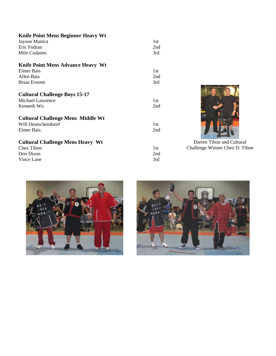| <b>Knife Point Mens Beginner Heavy Wt</b>                              |            |                                |
|------------------------------------------------------------------------|------------|--------------------------------|
| Jayson Manica                                                          | 1st        |                                |
| Eric Fodran                                                            | 2nd        |                                |
| Milo Cudanes                                                           | 3rd        |                                |
| <b>Knife Point Mens Advance Heavy Wt</b>                               |            |                                |
| <b>Elmer Bais</b>                                                      | 1st        |                                |
| Allen Bais                                                             | 2nd        |                                |
| <b>Brian Everett</b>                                                   | 3rd        |                                |
| <b>Cultural Challenge Boys 15-17</b><br>Michael Lawrence<br>Kenneth Wu | 1st<br>2nd |                                |
| <b>Cultural Challenge Mens Middle Wt</b>                               |            |                                |
| Will Deutschendoref                                                    | 1st        |                                |
| Elmer Bais                                                             | 2nd        |                                |
| <b>Cultural Challenge Mens Heavy Wt</b>                                |            | Darren Tibon and Cultural      |
| Chez Tibon                                                             | 1st        | Challenge Winner Chez D. Tibon |
| Don Dizon                                                              | 2nd        |                                |
| Vince Lane                                                             | 3rd        |                                |
|                                                                        |            |                                |



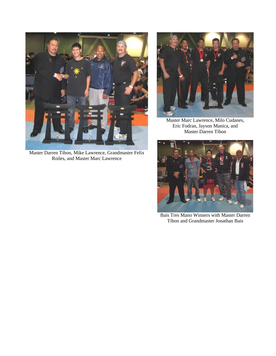

Master Darren Tibon, Mike Lawrence, Grandmaster Felix Roiles, and Master Marc Lawrence



Master Marc Lawrence, Milo Cudanes, Eric Fodran, Jayson Manica, and Master Darren Tibon



Bais Tres Mano Winners with Master Darren Tibon and Grandmaster Jonathan Bais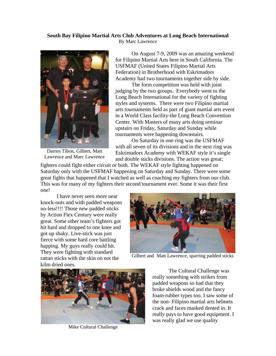## <span id="page-13-0"></span>**South Bay Filipino Martial Arts Club Adventures at Long Beach International**

By Marc Lawrence



Darren Tibon, Gilbert, Matt Lawrence and Marc Lawrence

On August 7-9, 2009 was an amazing weekend for Filipino Martial Arts here in South California. The USFMAF (United States Filipino Martial Arts Federation) in Brotherhood with Eskrimadors Academy had two tournaments together side by side.

The form competition was held with joint judging by the two groups. Everybody went to the Long Beach International for the variety of fighting styles and systems. There were two Filipino martial arts tournaments held as part of giant martial arts event in a World Class facility-the Long Beach Convention Center. With Masters of many arts doing seminar upstairs on Friday, Saturday and Sunday while tournaments were happening downstairs.

On Saturday in one ring was the USFMAF with all seven of its divisions and in the next ring was Eskrimadors Academy with WEKAF style it's single and double sticks divisions. The action was great;

fighters could fight either circuit or both. The WEKAF style fighting happened on Saturday only with the USFMAF happening on Saturday and Sunday. There were some great fights that happened that I watched as well as coaching my fighters from our club. This was for many of my fighters their second tournament ever. Some it was their first one!

I have never seen more near knock-outs and with padded weapons no-less!!!! Those new padded sticks by Action Flex Century were really great. Some other team's fighters got hit hard and dropped to one knee and got up shaky. Live-stick was just fierce with some hard core battling happing. My guys really could hit. They were fighting with standard rattan sticks with the skin on not the kilm dried ones.



Gilbert and Matt Lawrence, sparring padded sticks



Mike Cultural Challenge

The Cultural Challenge was really something with strikes from padded weapons so had that they broke shields wood and the fancy foam-rubber types too. I saw some of the non- Filipino martial arts helmets crack and faces masked dented in. It really pays to have good equipment. I was really glad we use quality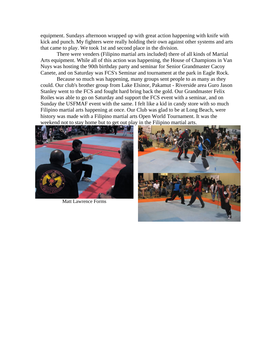equipment. Sundays afternoon wrapped up with great action happening with knife with kick and punch. My fighters were really holding their own against other systems and arts that came to play. We took 1st and second place in the division.

There were venders (Filipino martial arts included) there of all kinds of Martial Arts equipment. While all of this action was happening, the House of Champions in Van Nuys was hosting the 90th birthday party and seminar for Senior Grandmaster Cacoy Canete, and on Saturday was FCS's Seminar and tournament at the park in Eagle Rock.

Because so much was happening, many groups sent people to as many as they could. Our club's brother group from Lake Elsinor, Pakamut - Riverside area Guro Jason Stanley went to the FCS and fought hard bring back the gold. Our Grandmaster Felix Roiles was able to go on Saturday and support the FCS event with a seminar, and on Sunday the USFMAF event with the same. I felt like a kid in candy store with so much Filipino martial arts happening at once. Our Club was glad to be at Long Beach, were history was made with a Filipino martial arts Open World Tournament. It was the weekend not to stay home but to get out play in the Filipino martial arts.



Matt Lawrence Forms

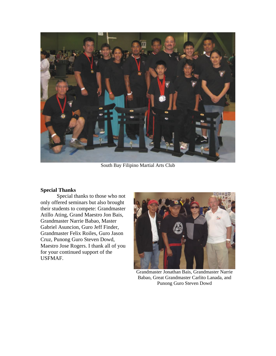<span id="page-15-0"></span>

South Bay Filipino Martial Arts Club

## **Special Thanks**

Special thanks to those who not only offered seminars but also brought their students to compete: Grandmaster Atillo Ating, Grand Maestro Jon Bais, Grandmaster Narrie Babao, Master Gabriel Asuncion, Guro Jeff Finder, Grandmaster Felix Roiles, Guro Jason Cruz, Punong Guro Steven Dowd, Maestro Jose Rogers. I thank all of you for your continued support of the USFMAF.



Grandmaster Jonathan Bais, Grandmaster Narrie Babao, Great Grandmaster Carlito Lanada, and Punong Guro Steven Dowd